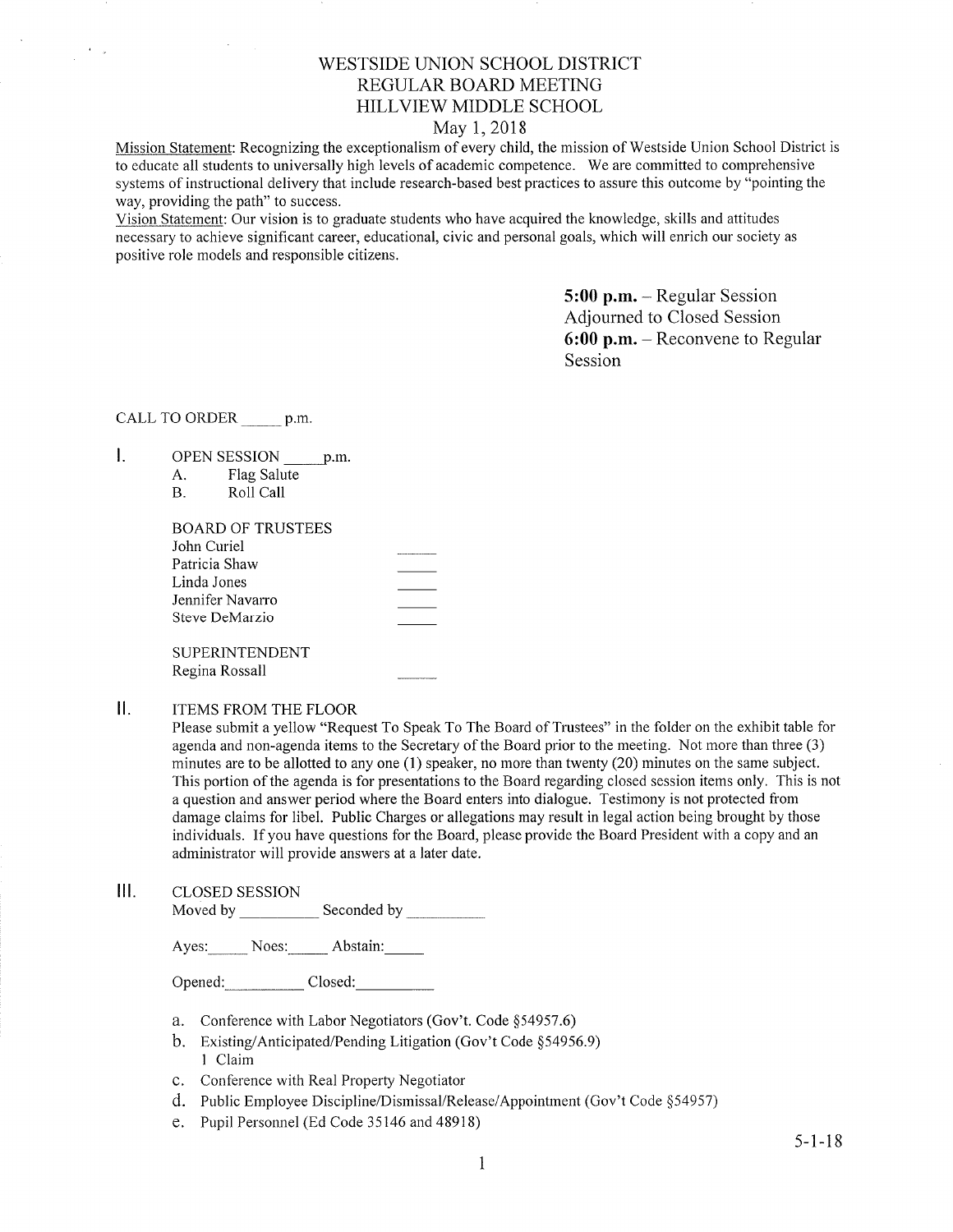# WESTSIDE LINION SCHOOL DISTRICT REGULAR BOARD MEETING HILLVIEW MIDDLE SCHOOL

## May 1,2018

Mission Statement: Recognizing the exceptionalism of every child, the mission of Westside Union School District is to educate all students to universally high levels of academic competence. We are committed to comprehensive systems of instructional delivery that include research-based best practices to assure this outcome by "pointing the way, providing the path" to success.

Vision Staternent: Our vision is to graduate students who have acquired the knowledge, skills and attitudes necessary to achieve significant career, educational, civic and personal goals, which will enrich our society as positive role models and responsible citizens.

> 5:00 p.m. - Regular Session Adjourned to Closed Session 6:00 p.m. - Reconvene to Regular Session

CALL TO ORDER p.m.

 $\frac{1}{2} \frac{1}{2} \sum_{i=1}^{n} \frac{1}{2} \sum_{j=1}^{n} \frac{1}{2} \sum_{j=1}^{n} \frac{1}{2} \sum_{j=1}^{n} \frac{1}{2} \sum_{j=1}^{n} \frac{1}{2} \sum_{j=1}^{n} \frac{1}{2} \sum_{j=1}^{n} \frac{1}{2} \sum_{j=1}^{n} \frac{1}{2} \sum_{j=1}^{n} \frac{1}{2} \sum_{j=1}^{n} \frac{1}{2} \sum_{j=1}^{n} \frac{1}{2} \sum_{j=1}^{n} \frac{1}{2} \sum$ 

- $\mathbf{I}$ . OPEN SESSION \_\_\_\_\_ p.m.
	- A. Flag Salute

| В. | Roll Call |  |
|----|-----------|--|
|    |           |  |

| BOARD OF TRUSTEES |  |
|-------------------|--|
| John Curiel       |  |
| Patricia Shaw     |  |
| Linda Jones       |  |
| Jennifer Navarro  |  |
| Steve DeMarzio    |  |
|                   |  |

SUPERINTENDENT Regina Rossall

 $II.$ ITEMS FROM THE FLOOR

Please submit a yellow "Request To Speak To The Board of Trustees" in the folder on the exhibit table for agenda and non-agenda items to the Secretary of the Board prior to the meeting. Not more than three (3) minutes are to be allotted to any one (1) speaker, no more than twenty (20) minutes on the same subject. This portion of the agenda is for presentations to the Board regarding closed session items only. This is not a question and answer period where the Board enters into dialogue. Testimony is not protected from damage claims for libel. Public Charges or allegations may result in legal action being brought by those individuals. If you have questions for the Board, please provide the Board President with a copy and an administrator will provide answers at alater date.

 $III.$ CLOSED SESSION

Moved by \_\_\_\_\_\_\_\_\_\_\_\_ Seconded by

Ayes: Noes: Abstain: Abstain:

- a. Conference with Labor Negotiators (Gov't. Code \$54957.6)
- b. Existing/Anticipated/Pending Litigation (Gov't Code §54956.9) 1 Claim
- c. Conference with Real Property Negotiator
- d. Public Employee Discipline/Dismissal/Release/Appointment (Gov't Code \$54957)
- e. Pupil Personnel (Ed Code 35146 and 48918)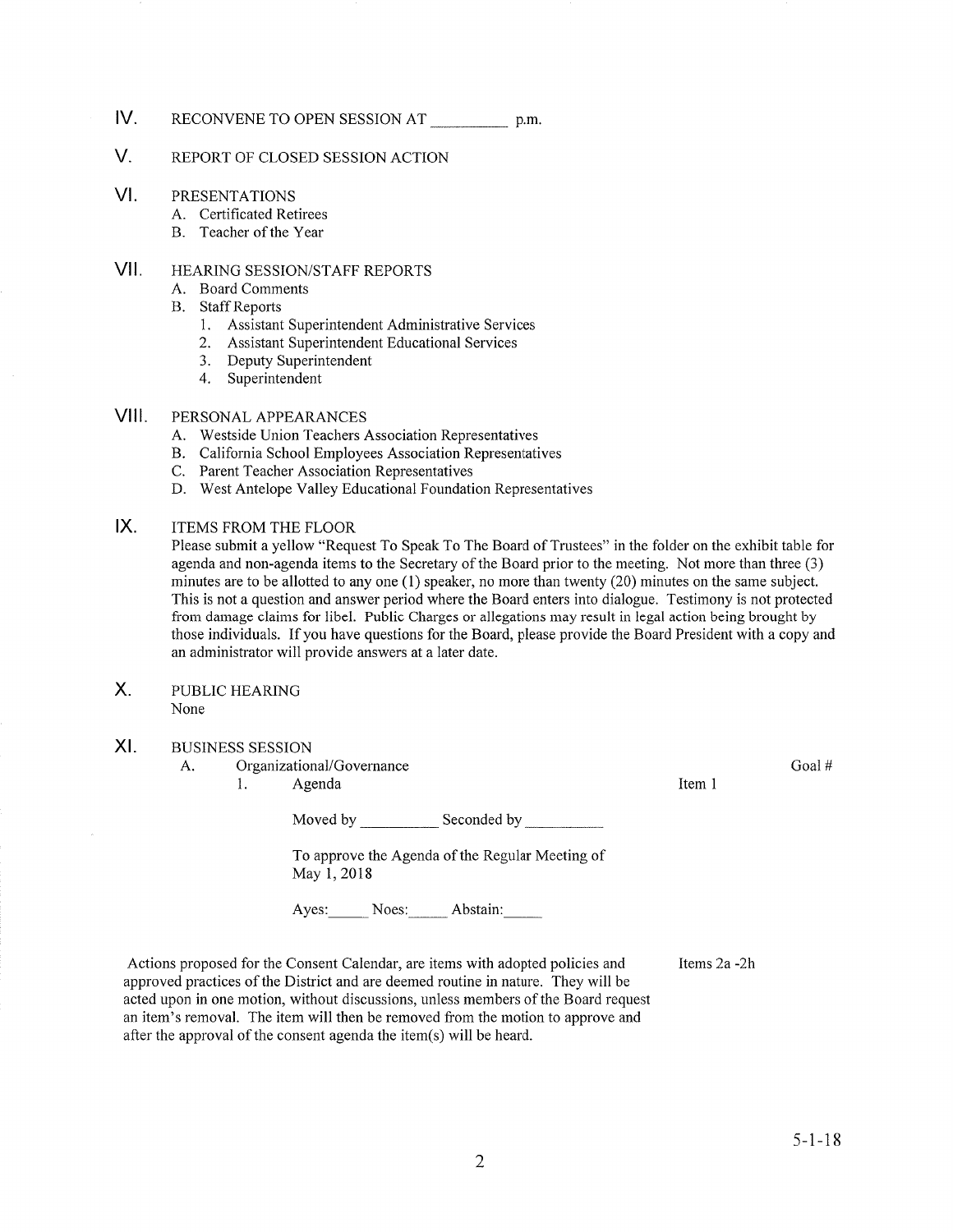## IV RECONVENE TO OPEN SESSION AT \_\_\_\_\_\_\_\_\_\_\_\_\_ p.m

#### V. REPORT OF CLOSED SESSION ACTION

#### VI PRESENTATIONS

- A. Certificated Retirees
- B. Teacher of the Year

### vil HEARING SESSION/STAFF REPORTS

- A. Board Comments
- B. Staff Reports
	- 1. Assistant Superintendent Administrative Services
	- 2. Assistant Superintendent Educational Services
	- 3. Deputy Superintendent 4. Superintendent
	-

#### VIII. PERSONAL APPEARANCES

- A. Westside Union Teachers Association Representatives
- 
- 
- B. California School Employees Association Representatives C. Parent Teacher Association Representatives D. West Antelope Valley Educational Foundation Representatives

#### $IX.$ ITEMS FROM THE FLOOR

Please submit a yellow "Request To Speak To The Board of Trustees" in the folder on the exhibit table for agenda and non-agenda items to the Secretary of the Board prior to the meeting. Not more than three (3) minutes are to be allotted to any one (l) speaker, no more than twenty (20) minutes on the same subject. This is not a question and answer period where the Board enters into dialogue. Testimony is not protected from damage claims for libel. Public Charges or allegations may result in legal action being brought by those individuals. If you have questions for the Board, please provide the Board President with a copy and an administrator will provide answers at a later date.

 $X_{1}$ PUBLIC HEAzuNG None

#### XI BUSINESS SESSION

A. Organizational/Governance l. Agenda

Moved by Seconded by Seconded by Seconded by Seconded by Seconded by Seconded by Seconded by Seconded by Seconded by Seconded by Seconded by Seconded by Seconded by Seconded by Seconded by Seconded by Seconded by Seconded

To approve the Agenda of the Regular Meeting of May 1,2018

Ayes: Noes: Abstain:

Actions proposed for the Consent Calendar, are items with adopted policies and approved practices of the District and are deemed routine in nature. They will be acted upon in one motion, without discussions, unless members of the Board request an item's removal. The item will then be removed from the motion to approve and after the approval of the consent agenda the item(s) will be heard. Items 2a -2h Goal #

Item <sup>1</sup>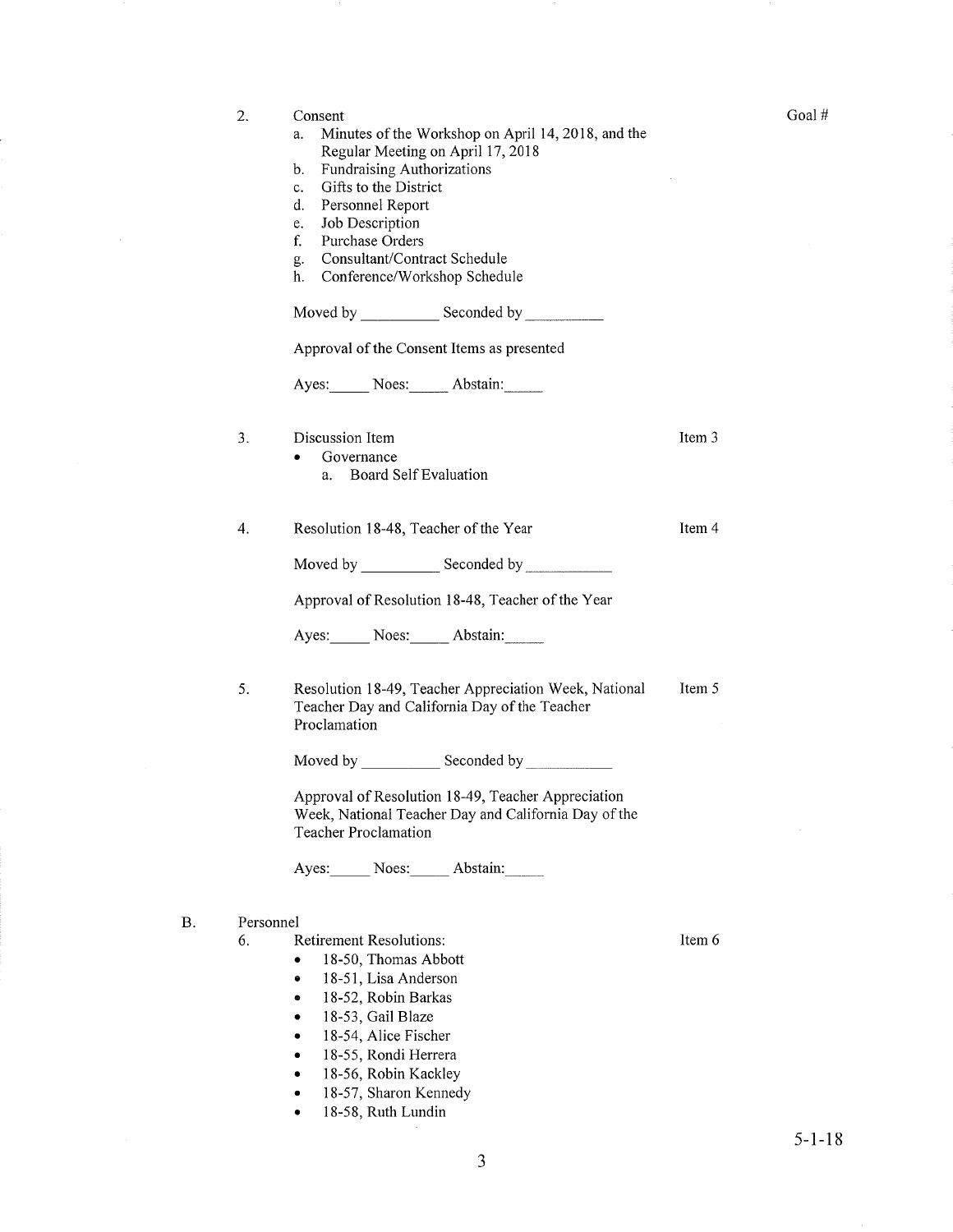| 2.        | Consent<br>Minutes of the Workshop on April 14, 2018, and the<br>a.<br>Regular Meeting on April 17, 2018<br>Fundraising Authorizations<br>b.<br>Gifts to the District<br>c.<br>d.<br>Personnel Report<br>Job Description<br>e.<br>f.<br>Purchase Orders<br>Consultant/Contract Schedule<br>g.<br>Conference/Workshop Schedule<br>h.<br>Approval of the Consent Items as presented<br>Ayes: Noes: Abstain: |        |
|-----------|-----------------------------------------------------------------------------------------------------------------------------------------------------------------------------------------------------------------------------------------------------------------------------------------------------------------------------------------------------------------------------------------------------------|--------|
| 3.        | Discussion Item<br>Governance<br>٠<br>Board Self Evaluation<br>a.                                                                                                                                                                                                                                                                                                                                         | Item 3 |
| 4.        | Resolution 18-48, Teacher of the Year                                                                                                                                                                                                                                                                                                                                                                     | Item 4 |
|           | Moved by Seconded by                                                                                                                                                                                                                                                                                                                                                                                      |        |
|           | Approval of Resolution 18-48, Teacher of the Year                                                                                                                                                                                                                                                                                                                                                         |        |
|           | Ayes: Noes: Abstain:                                                                                                                                                                                                                                                                                                                                                                                      |        |
| 5.        | Resolution 18-49, Teacher Appreciation Week, National<br>Teacher Day and California Day of the Teacher<br>Proclamation                                                                                                                                                                                                                                                                                    | Item 5 |
|           |                                                                                                                                                                                                                                                                                                                                                                                                           |        |
|           | Approval of Resolution 18-49, Teacher Appreciation<br>Week, National Teacher Day and California Day of the<br><b>Teacher Proclamation</b>                                                                                                                                                                                                                                                                 |        |
|           | Ayes: Noes: Abstain:                                                                                                                                                                                                                                                                                                                                                                                      |        |
| Personnel |                                                                                                                                                                                                                                                                                                                                                                                                           |        |
| 6.        | <b>Retirement Resolutions:</b><br>18-50, Thomas Abbott                                                                                                                                                                                                                                                                                                                                                    | Item 6 |
|           | 18-51, Lisa Anderson<br>0                                                                                                                                                                                                                                                                                                                                                                                 |        |
|           | 18-52, Robin Barkas<br>٠<br>18-53, Gail Blaze<br>٠                                                                                                                                                                                                                                                                                                                                                        |        |
|           | 18-54, Alice Fischer<br>٠                                                                                                                                                                                                                                                                                                                                                                                 |        |
|           | 18-55, Rondi Herrera                                                                                                                                                                                                                                                                                                                                                                                      |        |
|           | 18-56, Robin Kackley                                                                                                                                                                                                                                                                                                                                                                                      |        |
|           | 18-57, Sharon Kennedy                                                                                                                                                                                                                                                                                                                                                                                     |        |
|           | 18-58, Ruth Lundin<br>٠                                                                                                                                                                                                                                                                                                                                                                                   |        |

Goal #

 $5-1-18$ 

B

 $\sim 10^{-1}$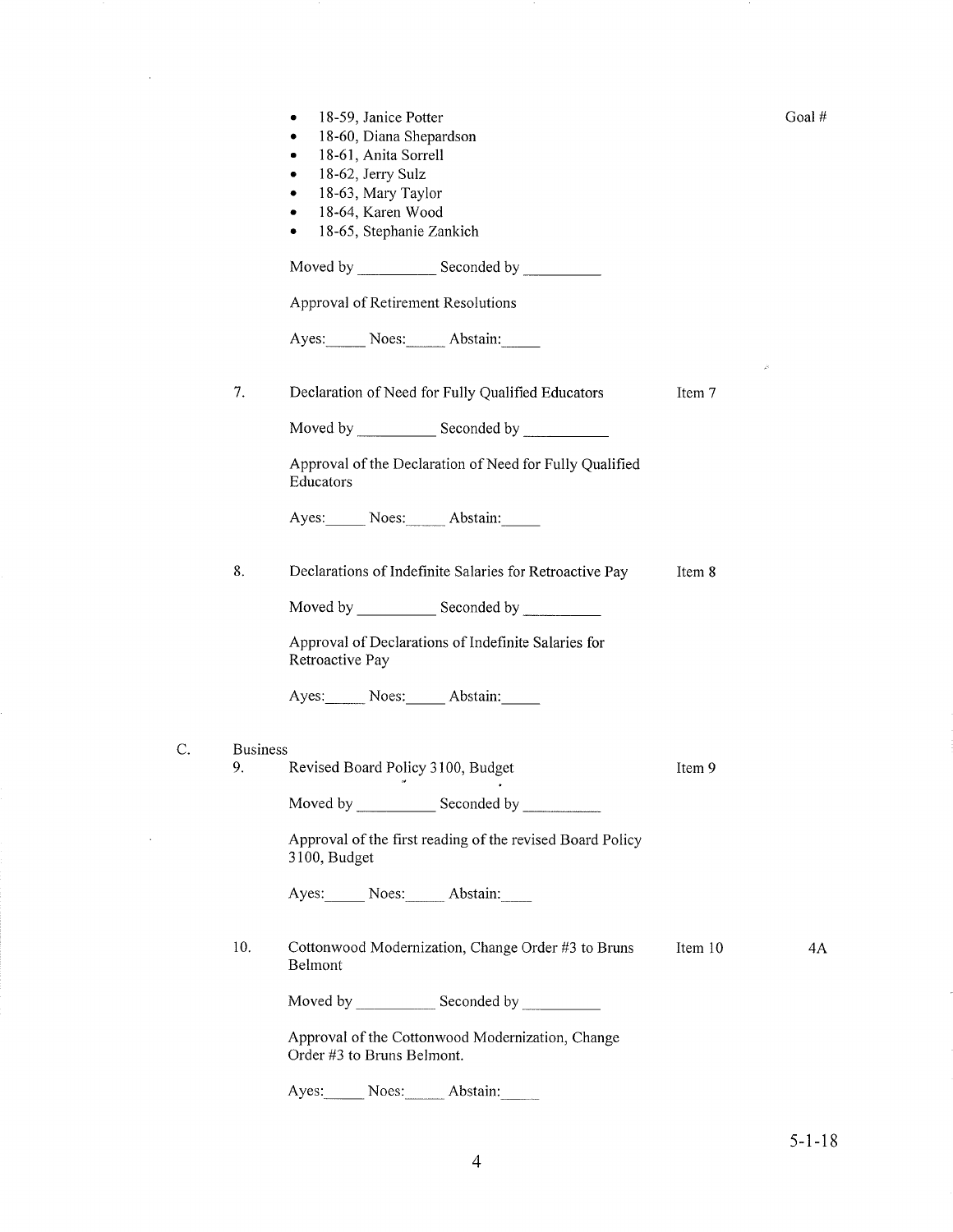|    |                 | 18-59, Janice Potter<br>٠<br>18-60, Diana Shepardson<br>٠<br>18-61, Anita Sorrell<br>18-62, Jerry Sulz<br>٠<br>18-63, Mary Taylor<br>۰<br>18-64, Karen Wood<br>٠<br>18-65, Stephanie Zankich<br>٠ |         | Goal# |
|----|-----------------|---------------------------------------------------------------------------------------------------------------------------------------------------------------------------------------------------|---------|-------|
|    |                 | Moved by Seconded by<br>Approval of Retirement Resolutions                                                                                                                                        |         |       |
|    |                 | Ayes: Noes: Abstain:                                                                                                                                                                              |         |       |
|    | 7.              | Declaration of Need for Fully Qualified Educators                                                                                                                                                 | Item 7  | è     |
|    |                 | Approval of the Declaration of Need for Fully Qualified<br>Educators                                                                                                                              |         |       |
|    |                 | Ayes: Noes: Abstain:                                                                                                                                                                              |         |       |
|    | 8.              | Declarations of Indefinite Salaries for Retroactive Pay                                                                                                                                           | Item 8  |       |
|    |                 |                                                                                                                                                                                                   |         |       |
|    |                 | Approval of Declarations of Indefinite Salaries for<br>Retroactive Pay                                                                                                                            |         |       |
|    |                 | Ayes: Noes: Abstain:                                                                                                                                                                              |         |       |
| С. | <b>Business</b> |                                                                                                                                                                                                   |         |       |
|    | 9.              | Revised Board Policy 3100, Budget                                                                                                                                                                 | Item 9  |       |
|    |                 |                                                                                                                                                                                                   |         |       |
|    |                 | Approval of the first reading of the revised Board Policy<br>3100, Budget                                                                                                                         |         |       |
|    |                 | Ayes: Noes: Abstain:                                                                                                                                                                              |         |       |
|    | 10.             | Cottonwood Modernization, Change Order #3 to Bruns<br>Belmont                                                                                                                                     | Item 10 | 4Α    |
|    |                 |                                                                                                                                                                                                   |         |       |
|    |                 | Approval of the Cottonwood Modernization, Change<br>Order #3 to Bruns Belmont.                                                                                                                    |         |       |
|    |                 | Ayes: Noes: Abstain:                                                                                                                                                                              |         |       |

 $\mathcal{L}^{\text{max}}_{\text{max}}$  , where  $\mathcal{L}^{\text{max}}_{\text{max}}$ 

 $\sim 10$ 

 $\sim$